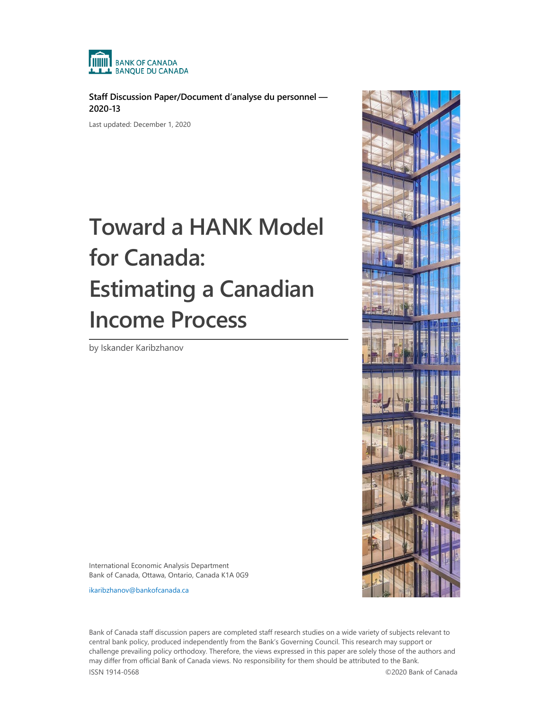

**Staff Discussion Paper/Document d'analyse du personnel — 2020-13**

Last updated: December 1, 2020

# **Toward a HANK Model for Canada: Estimating a Canadian Income Process**

by Iskander Karibzhanov



International Economic Analysis Department Bank of Canada, Ottawa, Ontario, Canada K1A 0G9

[ikaribzhanov@bankofcanada.ca](mailto:ikaribzhanov@bankofcanada.ca)

Bank of Canada staff discussion papers are completed staff research studies on a wide variety of subjects relevant to central bank policy, produced independently from the Bank's Governing Council. This research may support or challenge prevailing policy orthodoxy. Therefore, the views expressed in this paper are solely those of the authors and may differ from official Bank of Canada views. No responsibility for them should be attributed to the Bank. ISSN 1914-0568 ©2020 Bank of Canada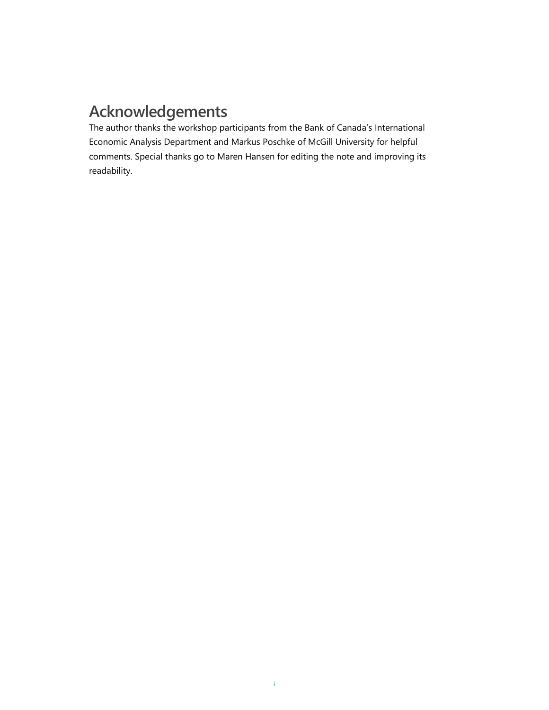# **Acknowledgements**

The author thanks the workshop participants from the Bank of Canada's International Economic Analysis Department and Markus Poschke of McGill University for helpful comments. Special thanks go to Maren Hansen for editing the note and improving its readability.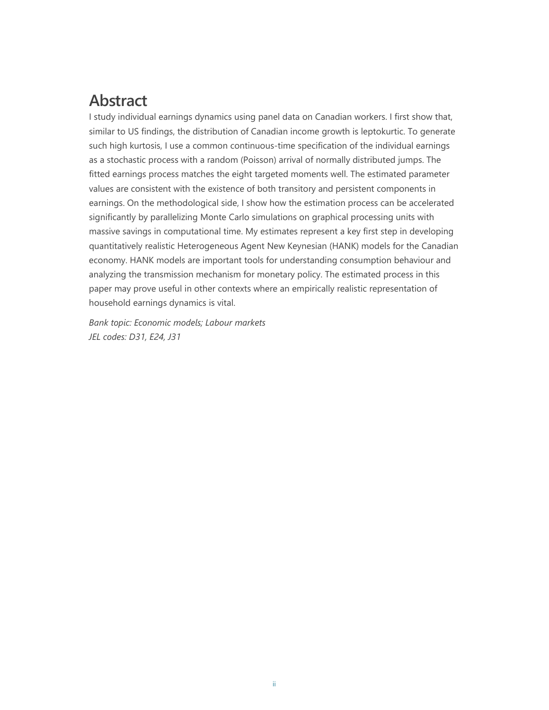# **Abstract**

I study individual earnings dynamics using panel data on Canadian workers. I first show that, similar to US findings, the distribution of Canadian income growth is leptokurtic. To generate such high kurtosis, I use a common continuous-time specification of the individual earnings as a stochastic process with a random (Poisson) arrival of normally distributed jumps. The fitted earnings process matches the eight targeted moments well. The estimated parameter values are consistent with the existence of both transitory and persistent components in earnings. On the methodological side, I show how the estimation process can be accelerated significantly by parallelizing Monte Carlo simulations on graphical processing units with massive savings in computational time. My estimates represent a key first step in developing quantitatively realistic Heterogeneous Agent New Keynesian (HANK) models for the Canadian economy. HANK models are important tools for understanding consumption behaviour and analyzing the transmission mechanism for monetary policy. The estimated process in this paper may prove useful in other contexts where an empirically realistic representation of household earnings dynamics is vital.

*Bank topic: Economic models; Labour markets JEL codes: D31, E24, J31*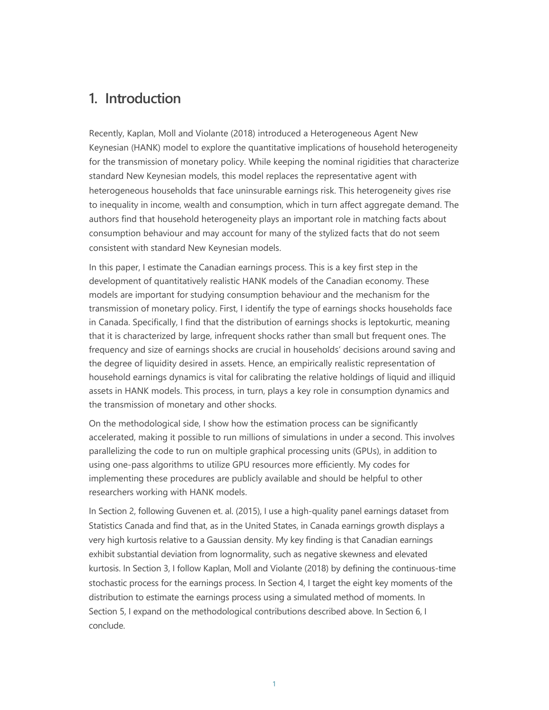## **1. Introduction**

Recently, Kaplan, Moll and Violante (2018) introduced a Heterogeneous Agent New Keynesian (HANK) model to explore the quantitative implications of household heterogeneity for the transmission of monetary policy. While keeping the nominal rigidities that characterize standard New Keynesian models, this model replaces the representative agent with heterogeneous households that face uninsurable earnings risk. This heterogeneity gives rise to inequality in income, wealth and consumption, which in turn affect aggregate demand. The authors find that household heterogeneity plays an important role in matching facts about consumption behaviour and may account for many of the stylized facts that do not seem consistent with standard New Keynesian models.

In this paper, I estimate the Canadian earnings process. This is a key first step in the development of quantitatively realistic HANK models of the Canadian economy. These models are important for studying consumption behaviour and the mechanism for the transmission of monetary policy. First, I identify the type of earnings shocks households face in Canada. Specifically, I find that the distribution of earnings shocks is leptokurtic, meaning that it is characterized by large, infrequent shocks rather than small but frequent ones. The frequency and size of earnings shocks are crucial in households' decisions around saving and the degree of liquidity desired in assets. Hence, an empirically realistic representation of household earnings dynamics is vital for calibrating the relative holdings of liquid and illiquid assets in HANK models. This process, in turn, plays a key role in consumption dynamics and the transmission of monetary and other shocks.

On the methodological side, I show how the estimation process can be significantly accelerated, making it possible to run millions of simulations in under a second. This involves parallelizing the code to run on multiple graphical processing units (GPUs), in addition to using one-pass algorithms to utilize GPU resources more efficiently. My codes for implementing these procedures are publicly available and should be helpful to other researchers working with HANK models.

In Section 2, following Guvenen et. al. (2015), I use a high-quality panel earnings dataset from Statistics Canada and find that, as in the United States, in Canada earnings growth displays a very high kurtosis relative to a Gaussian density. My key finding is that Canadian earnings exhibit substantial deviation from lognormality, such as negative skewness and elevated kurtosis. In Section 3, I follow Kaplan, Moll and Violante (2018) by defining the continuous-time stochastic process for the earnings process. In Section 4, I target the eight key moments of the distribution to estimate the earnings process using a simulated method of moments. In Section 5, I expand on the methodological contributions described above. In Section 6, I conclude.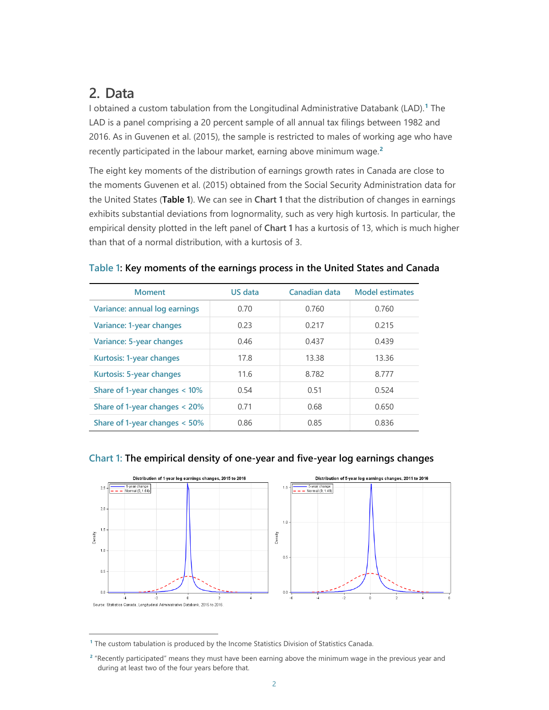## **2. Data**

-

I obtained a custom tabulation from the Longitudinal Administrative Databank (LAD).**[1](#page-4-1)** The LAD is a panel comprising a 20 percent sample of all annual tax filings between 1982 and 2016. As in Guvenen et al. (2015), the sample is restricted to males of working age who have recently participated in the labour market, earning above minimum wage. **[2](#page-4-2)**

The eight key moments of the distribution of earnings growth rates in Canada are close to the moments Guvenen et al. (2015) obtained from the Social Security Administration data for the United States (**Table 1**). We can see in **[Chart 1](#page-4-0)** that the distribution of changes in earnings exhibits substantial deviations from lognormality, such as very high kurtosis. In particular, the empirical density plotted in the left panel of **[Chart 1](#page-4-0)** has a kurtosis of 13, which is much higher than that of a normal distribution, with a kurtosis of 3.

| <b>Moment</b>                    | US data | Canadian data | <b>Model estimates</b> |
|----------------------------------|---------|---------------|------------------------|
| Variance: annual log earnings    | 0.70    | 0.760         | 0.760                  |
| Variance: 1-year changes         | 0.23    | 0.217         | 0.215                  |
| Variance: 5-year changes         | 0.46    | 0.437         | 0.439                  |
| Kurtosis: 1-year changes         | 17.8    | 13.38         | 13.36                  |
| Kurtosis: 5-year changes         | 11.6    | 8.782         | 8.777                  |
| Share of 1-year changes $< 10\%$ | 0.54    | 0.51          | 0.524                  |
| Share of 1-year changes $<$ 20%  | 0.71    | 0.68          | 0.650                  |
| Share of 1-year changes $< 50\%$ | 0.86    | 0.85          | 0.836                  |

#### **Table 1: Key moments of the earnings process in the United States and Canada**



#### <span id="page-4-0"></span>**Chart 1: The empirical density of one-year and five-year log earnings changes**

<span id="page-4-1"></span>**<sup>1</sup>** The custom tabulation is produced by the Income Statistics Division of Statistics Canada.

<span id="page-4-2"></span>**<sup>2</sup>** "Recently participated" means they must have been earning above the minimum wage in the previous year and during at least two of the four years before that.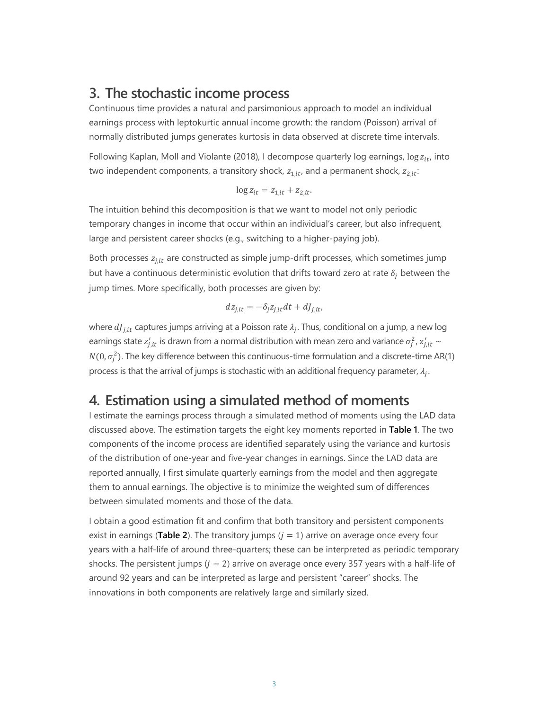## **3. The stochastic income process**

Continuous time provides a natural and parsimonious approach to model an individual earnings process with leptokurtic annual income growth: the random (Poisson) arrival of normally distributed jumps generates kurtosis in data observed at discrete time intervals.

Following Kaplan, Moll and Violante (2018), I decompose quarterly log earnings,  $\log z_{it}$ , into two independent components, a transitory shock,  $z_{1, it}$ , and a permanent shock,  $z_{2, it}$ :

$$
\log z_{it} = z_{1,it} + z_{2,it}.
$$

The intuition behind this decomposition is that we want to model not only periodic temporary changes in income that occur within an individual's career, but also infrequent, large and persistent career shocks (e.g., switching to a higher-paying job).

Both processes  $z_{i, it}$  are constructed as simple jump-drift processes, which sometimes jump but have a continuous deterministic evolution that drifts toward zero at rate  $\delta_i$  between the jump times. More specifically, both processes are given by:

$$
dz_{j,it} = -\delta_j z_{j,it} dt + dJ_{j,it},
$$

where  $dJ_{i, it}$  captures jumps arriving at a Poisson rate  $\lambda_i$ . Thus, conditional on a jump, a new log earnings state  $z'_{j, it}$  is drawn from a normal distribution with mean zero and variance  $\sigma^2_j$ ,  $z'_{j, it} \sim$  $N(0,\sigma_j^2)$ . The key difference between this continuous-time formulation and a discrete-time AR(1) process is that the arrival of jumps is stochastic with an additional frequency parameter,  $\lambda_i$ .

## **4. Estimation using a simulated method of moments**

I estimate the earnings process through a simulated method of moments using the LAD data discussed above. The estimation targets the eight key moments reported in **Table 1**. The two components of the income process are identified separately using the variance and kurtosis of the distribution of one-year and five-year changes in earnings. Since the LAD data are reported annually, I first simulate quarterly earnings from the model and then aggregate them to annual earnings. The objective is to minimize the weighted sum of differences between simulated moments and those of the data.

I obtain a good estimation fit and confirm that both transitory and persistent components exist in earnings (**Table 2**). The transitory jumps  $(j = 1)$  arrive on average once every four years with a half-life of around three-quarters; these can be interpreted as periodic temporary shocks. The persistent jumps  $(j = 2)$  arrive on average once every 357 years with a half-life of around 92 years and can be interpreted as large and persistent "career" shocks. The innovations in both components are relatively large and similarly sized.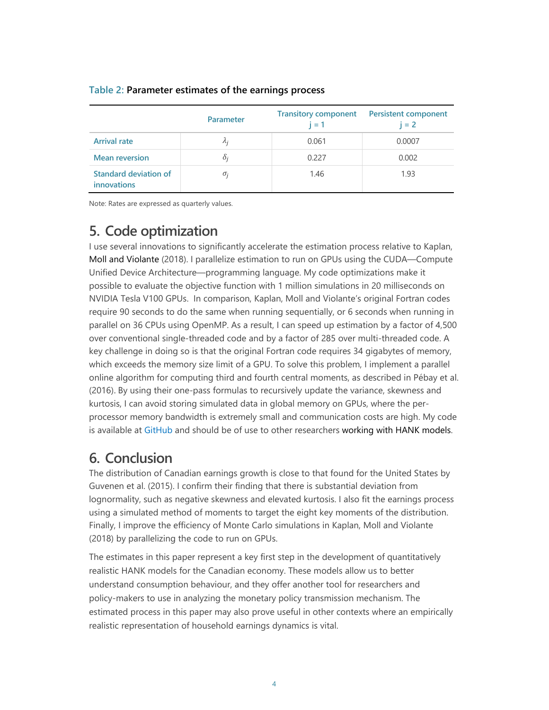|                                      | Parameter   | <b>Transitory component</b><br>$i = 1$ | <b>Persistent component</b><br>$i = 2$ |
|--------------------------------------|-------------|----------------------------------------|----------------------------------------|
| <b>Arrival rate</b>                  | $\lambda_i$ | 0.061                                  | 0.0007                                 |
| <b>Mean reversion</b>                | $\delta_i$  | 0.227                                  | 0.002                                  |
| Standard deviation of<br>innovations | $\sigma_i$  | 1.46                                   | 1.93                                   |

#### **Table 2: Parameter estimates of the earnings process**

Note: Rates are expressed as quarterly values.

## **5. Code optimization**

I use several innovations to significantly accelerate the estimation process relative to Kaplan, Moll and Violante (2018). I parallelize estimation to run on GPUs using the CUDA—Compute Unified Device Architecture—programming language. My code optimizations make it possible to evaluate the objective function with 1 million simulations in 20 milliseconds on NVIDIA Tesla V100 GPUs. In comparison, Kaplan, Moll and Violante's original Fortran codes require 90 seconds to do the same when running sequentially, or 6 seconds when running in parallel on 36 CPUs using OpenMP. As a result, I can speed up estimation by a factor of 4,500 over conventional single-threaded code and by a factor of 285 over multi-threaded code. A key challenge in doing so is that the original Fortran code requires 34 gigabytes of memory, which exceeds the memory size limit of a GPU. To solve this problem, I implement a parallel online algorithm for computing third and fourth central moments, as described in Pébay et al. (2016). By using their one-pass formulas to recursively update the variance, skewness and kurtosis, I can avoid storing simulated data in global memory on GPUs, where the perprocessor memory bandwidth is extremely small and communication costs are high. My code is available at [GitHub](https://github.com/ikarib/HANK_EarningsEstimation) and should be of use to other researchers working with HANK models.

## **6. Conclusion**

The distribution of Canadian earnings growth is close to that found for the United States by Guvenen et al. (2015). I confirm their finding that there is substantial deviation from lognormality, such as negative skewness and elevated kurtosis. I also fit the earnings process using a simulated method of moments to target the eight key moments of the distribution. Finally, I improve the efficiency of Monte Carlo simulations in Kaplan, Moll and Violante (2018) by parallelizing the code to run on GPUs.

The estimates in this paper represent a key first step in the development of quantitatively realistic HANK models for the Canadian economy. These models allow us to better understand consumption behaviour, and they offer another tool for researchers and policy-makers to use in analyzing the monetary policy transmission mechanism. The estimated process in this paper may also prove useful in other contexts where an empirically realistic representation of household earnings dynamics is vital.